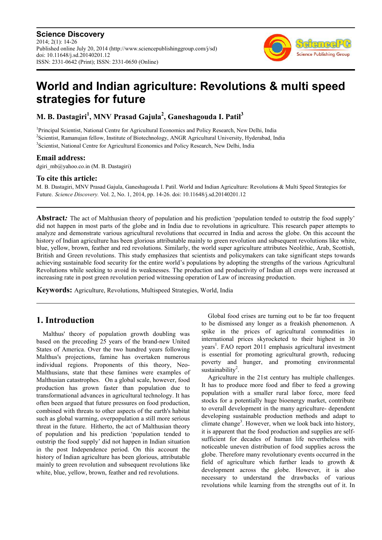**Science Discovery** 2014; 2(1): 14-26 Published online July 20, 2014 (http://www.sciencepublishinggroup.com/j/sd) doi: 10.11648/j.sd.20140201.12 ISSN: 2331-0642 (Print); ISSN: 2331-0650 (Online)



# **World and Indian agriculture: Revolutions & multi speed strategies for future**

**M. B. Dastagiri<sup>1</sup> , MNV Prasad Gajula<sup>2</sup> , Ganeshagouda I. Patil<sup>3</sup>**

<sup>1</sup>Principal Scientist, National Centre for Agricultural Economics and Policy Research, New Delhi, India <sup>2</sup>Scientist, Ramanujan fellow, Institute of Biotechnology, ANGR Agricultural University, Hyderabad, India <sup>3</sup>Scientist, National Centre for Agricultural Economics and Policy Research, New Delhi, India

# **Email address:**

dgiri mb@yahoo.co.in (M. B. Dastagiri)

# **To cite this article:**

M. B. Dastagiri, MNV Prasad Gajula, Ganeshagouda I. Patil. World and Indian Agriculture: Revolutions & Multi Speed Strategies for Future. *Science Discovery.* Vol. 2, No. 1, 2014, pp. 14-26. doi: 10.11648/j.sd.20140201.12

**Abstract***:* The act of Malthusian theory of population and his prediction 'population tended to outstrip the food supply' did not happen in most parts of the globe and in India due to revolutions in agriculture. This research paper attempts to analyze and demonstrate various agricultural revolutions that occurred in India and across the globe. On this account the history of Indian agriculture has been glorious attributable mainly to green revolution and subsequent revolutions like white, blue, yellow, brown, feather and red revolutions. Similarly, the world super agriculture attributes Neolithic, Arab, Scottish, British and Green revolutions. This study emphasizes that scientists and policymakers can take significant steps towards achieving sustainable food security for the entire world's populations by adopting the strengths of the various Agricultural Revolutions while seeking to avoid its weaknesses. The production and productivity of Indian all crops were increased at increasing rate in post green revolution period witnessing operation of Law of increasing production.

**Keywords:** Agriculture, Revolutions, Multispeed Strategies, World, India

# **1. Introduction**

Malthus' theory of population growth doubling was based on the preceding 25 years of the brand-new United States of America. Over the two hundred years following Malthus's projections, famine has overtaken numerous individual regions. Proponents of this theory, Neo-Malthusians, state that these famines were examples of Malthusian catastrophes. On a global scale, however, food production has grown faster than population due to transformational advances in agricultural technology. It has often been argued that future pressures on food production, combined with threats to other aspects of the earth's habitat such as global warming, overpopulation a still more serious threat in the future. Hitherto, the act of Malthusian theory of population and his prediction 'population tended to outstrip the food supply' did not happen in Indian situation in the post Independence period. On this account the history of Indian agriculture has been glorious, attributable mainly to green revolution and subsequent revolutions like white, blue, yellow, brown, feather and red revolutions.

Global food crises are turning out to be far too frequent to be dismissed any longer as a freakish phenomenon. A spike in the prices of agricultural commodities in international prices skyrocketed to their highest in 30 years<sup>1</sup>. FAO report 2011 emphasis agricultural investment is essential for promoting agricultural growth, reducing poverty and hunger, and promoting environmental sustainability<sup>2</sup> .

Agriculture in the 21st century has multiple challenges. It has to produce more food and fiber to feed a growing population with a smaller rural labor force, more feed stocks for a potentially huge bioenergy market, contribute to overall development in the many agriculture- dependent developing sustainable production methods and adapt to climate change<sup>3</sup>. However, when we look back into history, it is apparent that the food production and supplies are selfsufficient for decades of human life nevertheless with noticeable uneven distribution of food supplies across the globe. Therefore many revolutionary events occurred in the field of agriculture which further leads to growth & development across the globe. However, it is also necessary to understand the drawbacks of various revolutions while learning from the strengths out of it. In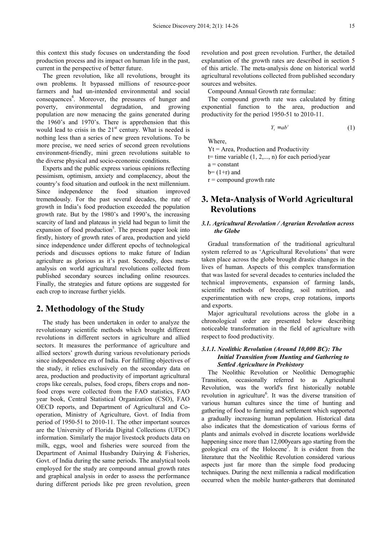this context this study focuses on understanding the food production process and its impact on human life in the past, current in the perspective of better future.

The green revolution, like all revolutions, brought its own problems. It bypassed millions of resource-poor farmers and had un-intended environmental and social consequences<sup>4</sup>. Moreover, the pressures of hunger and poverty, environmental degradation, and growing population are now menacing the gains generated during the 1960's and 1970's. There is apprehension that this would lead to crisis in the  $21<sup>st</sup>$  century. What is needed is nothing less than a series of new green revolutions. To be more precise, we need series of second green revolutions environment-friendly, mini green revolutions suitable to the diverse physical and socio-economic conditions.

Experts and the public express various opinions reflecting pessimism, optimism, anxiety and complacency, about the country's food situation and outlook in the next millennium. Since independence the food situation improved tremendously. For the past several decades, the rate of growth in India's food production exceeded the population growth rate. But by the 1980's and 1990's, the increasing scarcity of land and plateaus in yield had begun to limit the expansion of food production<sup>5</sup>. The present paper look into firstly, history of growth rates of area, production and yield since independence under different epochs of technological periods and discusses options to make future of Indian agriculture as glorious as it's past. Secondly, does metaanalysis on world agricultural revolutions collected from published secondary sources including online resources. Finally, the strategies and future options are suggested for each crop to increase further yields.

# **2. Methodology of the Study**

The study has been undertaken in order to analyze the revolutionary scientific methods which brought different revolutions in different sectors in agriculture and allied sectors. It measures the performance of agriculture and allied sectors' growth during various revolutionary periods since independence era of India. For fulfilling objectives of the study, it relies exclusively on the secondary data on area, production and productivity of important agricultural crops like cereals, pulses, food crops, fibers crops and nonfood crops were collected from the FAO statistics, FAO year book, Central Statistical Organization (CSO), FAO OECD reports, and Department of Agricultural and Cooperation, Ministry of Agriculture, Govt. of India from period of 1950-51 to 2010-11. The other important sources are the University of Florida Digital Collections (UFDC) information. Similarly the major livestock products data on milk, eggs, wool and fisheries were sourced from the Department of Animal Husbandry Dairying & Fisheries, Govt. of India during the same periods. The analytical tools employed for the study are compound annual growth rates and graphical analysis in order to assess the performance during different periods like pre green revolution, green

revolution and post green revolution. Further, the detailed explanation of the growth rates are described in section 5 of this article. The meta-analysis done on historical world agricultural revolutions collected from published secondary sources and websites.

Compound Annual Growth rate formulae:

The compound growth rate was calculated by fitting exponential function to the area, production and productivity for the period 1950-51 to 2010-11.

$$
Y_t = ab^t \tag{1}
$$

Where,

 $Yt = Area$ , Production and Productivity

 $t=$  time variable  $(1, 2,..., n)$  for each period/year

 $a = constant$ 

 $b=(1+r)$  and

 $r =$  compound growth rate

# **3. Meta-Analysis of World Agricultural Revolutions**

### *3.1. Agricultural Revolution / Agrarian Revolution across the Globe*

Gradual transformation of the traditional agricultural system referred to as 'Agricultural Revolutions' that were taken place across the globe brought drastic changes in the lives of human. Aspects of this complex transformation that was lasted for several decades to centuries included the technical improvements, expansion of farming lands, scientific methods of breeding, soil nutrition, and experimentation with new crops, crop rotations, imports and exports.

Major agricultural revolutions across the globe in a chronological order are presented below describing noticeable transformation in the field of agriculture with respect to food productivity.

# *3.1.1. Neolithic Revolution (Around 10,000 BC): The Initial Transition from Hunting and Gathering to Settled Agriculture in Prehistory*

The Neolithic Revolution or Neolithic Demographic Transition, occasionally referred to as Agricultural Revolution, was the world's first historically notable revolution in agriculture<sup>6</sup>. It was the diverse transition of various human cultures since the time of hunting and gathering of food to farming and settlement which supported a gradually increasing human population. Historical data also indicates that the domestication of various forms of plants and animals evolved in discrete locations worldwide happening since more than 12,000years ago starting from the geological era of the Holocene<sup>7</sup>. It is evident from the literature that the Neolithic Revolution considered various aspects just far more than the simple food producing techniques. During the next millennia a radical modification occurred when the mobile hunter-gatherers that dominated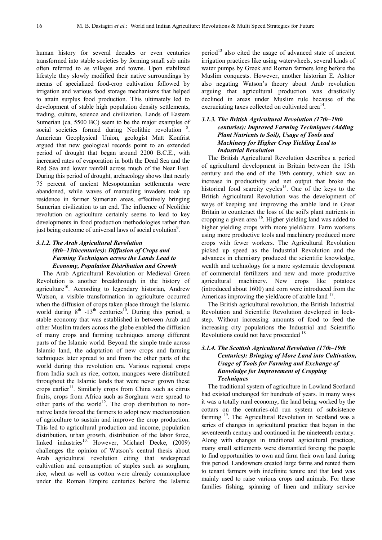human history for several decades or even centuries transformed into stable societies by forming small sub units often referred to as villages and towns. Upon stabilized lifestyle they slowly modified their native surroundings by means of specialized food-crop cultivation followed by irrigation and various food storage mechanisms that helped to attain surplus food production. This ultimately led to development of stable high population density settlements, trading, culture, science and civilization. Lands of Eastern Sumerian (ca, 5500 BC) seem to be the major examples of social societies formed during Neolithic revolution <sup>8</sup>. American Geophysical Union, geologist Matt Konfrist argued that new geological records point to an extended period of drought that began around 2200 B.C.E., with increased rates of evaporation in both the Dead Sea and the Red Sea and lower rainfall across much of the Near East. During this period of drought, archaeology shows that nearly 75 percent of ancient Mesopotamian settlements were abandoned, while waves of marauding invaders took up residence in former Sumerian areas, effectively bringing Sumerian civilization to an end. The influence of Neolithic revolution on agriculture certainly seems to lead to key developments in food production methodologies rather than just being outcome of universal laws of social evolution<sup>9</sup>.

# *3.1.2. The Arab Agricultural Revolution (8th–13thcenturies): Diffusion of Crops and Farming Techniques across the Lands Lead to Economy, Population Distribution and Growth*

The Arab Agricultural Revolution or Medieval Green Revolution is another breakthrough in the history of agriculture<sup>10</sup>. According to legendary historian, Andrew Watson, a visible transformation in agriculture occurred when the diffusion of crops taken place through the Islamic world during  $8<sup>th</sup> -13<sup>th</sup>$  centuries<sup>10</sup>. During this period, a stable economy that was established in between Arab and other Muslim traders across the globe enabled the diffusion of many crops and farming techniques among different parts of the Islamic world. Beyond the simple trade across Islamic land, the adaptation of new crops and farming techniques later spread to and from the other parts of the world during this revolution era. Various regional crops from India such as rice, cotton, mangoes were distributed throughout the Islamic lands that were never grown these crops earlier<sup>11</sup>. Similarly crops from China such as citrus fruits, crops from Africa such as Sorghum were spread to other parts of the world<sup>12</sup>. The crop distribution to nonnative lands forced the farmers to adopt new mechanization of agriculture to sustain and improve the crop production. This led to agricultural production and income, population distribution, urban growth, distribution of the labor force, linked industries<sup>10.</sup> However, Michael Decke, (2009) challenges the opinion of Watson's central thesis about Arab agricultural revolution citing that widespread cultivation and consumption of staples such as sorghum, rice, wheat as well as cotton were already commonplace under the Roman Empire centuries before the Islamic

period $13$  also cited the usage of advanced state of ancient irrigation practices like using waterwheels, several kinds of water pumps by Greek and Roman farmers long before the Muslim conquests. However, another historian E. Ashtor also negating Watson's theory about Arab revolution arguing that agricultural production was drastically declined in areas under Muslim rule because of the excruciating taxes collected on cultivated area<sup>14</sup>.

# *3.1.3. The British Agricultural Revolution (17th–19th centuries): Improved Farming Techniques (Adding Plant Nutrients to Soil), Usage of Tools and Machinery for Higher Crop Yielding Lead to Industrial Revolution*

The British Agricultural Revolution describes a period of agricultural development in Britain between the 15th century and the end of the 19th century, which saw an increase in productivity and net output that broke the historical food scarcity cycles<sup>15</sup>. One of the keys to the British Agricultural Revolution was the development of ways of keeping and improving the arable land in Great Britain to counteract the loss of the soil's plant nutrients in cropping a given area <sup>16</sup>. Higher yielding land was added to higher yielding crops with more yield/acre. Farm workers using more productive tools and machinery produced more crops with fewer workers. The Agricultural Revolution picked up speed as the Industrial Revolution and the advances in chemistry produced the scientific knowledge, wealth and technology for a more systematic development of commercial fertilizers and new and more productive agricultural machinery. New crops like potatoes (introduced about 1600) and corn were introduced from the Americas improving the yield/acre of arable land <sup>17</sup>.

The British agricultural revolution, the British Industrial Revolution and Scientific Revolution developed in lockstep. Without increasing amounts of food to feed the increasing city populations the Industrial and Scientific Revolutions could not have proceeded  $18$ .

# *3.1.4. The Scottish Agricultural Revolution (17th–19th Centuries): Bringing of More Land into Cultivation, Usage of Tools for Farming and Exchange of Knowledge for Improvement of Cropping Techniques*

The traditional system of agriculture in Lowland Scotland had existed unchanged for hundreds of years. In many ways it was a totally rural economy, the land being worked by the cottars on the centuries-old run system of subsistence farming <sup>19</sup>. The Agricultural Revolution in Scotland was a series of changes in agricultural practice that began in the seventeenth century and continued in the nineteenth century. Along with changes in traditional agricultural practices, many small settlements were dismantled forcing the people to find opportunities to own and farm their own land during this period. Landowners created large farms and rented them to tenant farmers with indefinite tenure and that land was mainly used to raise various crops and animals. For these families fishing, spinning of linen and military service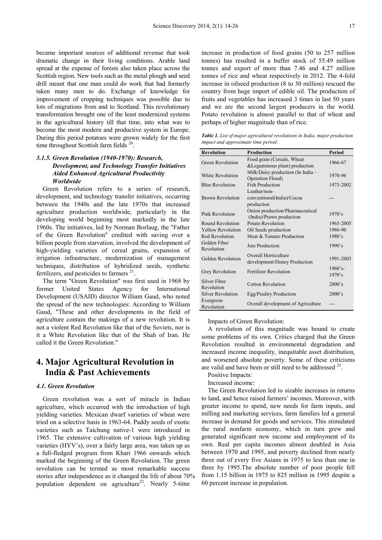became important sources of additional revenue that took dramatic change in their living conditions. Arable land spread at the expense of forests also taken place across the Scottish region. New tools such as the metal plough and seed drill meant that one man could do work that had formerly taken many men to do. Exchange of knowledge for improvement of cropping techniques was possible due to lots of migrations from and to Scotland. This revolutionary transformation brought one of the least modernized systems in the agricultural history till that time, into what was to become the most modern and productive system in Europe. During this period potatoes were grown widely for the first time throughout Scottish farm fields <sup>20</sup>.

# *3.1.5. Green Revolution (1940-1970): Research, Development, and Technology Transfer Initiatives Aided Enhanced Agricultural Productivity Worldwide*

Green Revolution refers to a series of research, development, and technology transfer initiatives, occurring between the 1940s and the late 1970s that increased agriculture production worldwide, particularly in the developing world beginning most markedly in the late 1960s. The initiatives, led by Norman Borlaug, the "Father of the Green Revolution" credited with saving over a billion people from starvation, involved the development of high-yielding varieties of cereal grains, expansion of irrigation infrastructure, modernization of management techniques, distribution of hybridized seeds, synthetic fertilizers, and pesticides to farmers  $2<sup>1</sup>$ .

The term "Green Revolution" was first used in 1968 by former United States Agency for International Development (USAID) director William Gaud, who noted the spread of the new technologies: According to William Gaud, "These and other developments in the field of agriculture contain the makings of a new revolution. It is not a violent Red Revolution like that of the Soviets, nor is it a White Revolution like that of the Shah of Iran. He called it the Green Revolution."

# **4. Major Agricultural Revolution in India & Past Achievements**

#### *4.1. Green Revolution*

Green revolution was a sort of miracle in Indian agriculture, which occurred with the introduction of high yielding varieties. Mexican dwarf varieties of wheat were tried on a selective basis in 1963-64. Paddy seeds of exotic varieties such as Taichung native-1 were introduced in 1965. The extensive cultivation of various high yielding varieties (HYV's), over a fairly large area, was taken up as a full-fledged program from Khari 1966 onwards which marked the beginning of the Green Revolution. The green revolution can be termed as most remarkable success stories after independence as it changed the life of about 70% population dependent on agriculture<sup>22</sup>. Nearly 5-time

increase in production of food grains (50 to 257 million tonnes) has resulted in a buffer stock of 55.49 million tonnes and export of more than 7.46 and 4.27 million tonnes of rice and wheat respectively in 2012. The 4-fold increase in oilseed production (8 to 30 million) rescued the country from huge import of edible oil. The production of fruits and vegetables has increased 3 times in last 50 years and we are the second largest producers in the world. Potato revolution is almost parallel to that of wheat and perhaps of higher magnitude than of rice.

*Table 1. List of major agricultural revolutions in India, major production impact and approximate time period.* 

| <b>Revolution</b>          | <b>Production</b>                                            | Period               |
|----------------------------|--------------------------------------------------------------|----------------------|
| Green Revolution           | Food grain (Cereals, Wheat<br>& Leguminous plant) production | 1966-67              |
| White Revolution           | Milk/Dairy production (In India -<br>Operation Flood)        | 1970-96              |
| <b>Blue Revolution</b>     | <b>Fish Production</b>                                       | 1973-2002            |
| <b>Brown Revolution</b>    | Leather/non-<br>conventional(India)/Cocoa<br>production      |                      |
| Pink Revolution            | Onion production/Pharmaceutical<br>(India)/Prawn production  | 1970's               |
| Round Revolution           | Potato Revolution                                            | 1965-2005            |
| <b>Yellow Revolution</b>   | Oil Seeds production                                         | 1986-90              |
| <b>Red Revolution</b>      | Meat & Tomato Production                                     | 1980's               |
| Golden Fiber<br>Revolution | Jute Production                                              | 1990's               |
| Golden Revolution          | Overall Horticulture<br>development/Honey Production         | 1991-2003            |
| Grey Revolution            | <b>Fertilizer Revolution</b>                                 | $1960$ 's-<br>1970's |
| Silver Fiber<br>Revolution | Cotton Revolution                                            | 2000's               |
| <b>Silver Revolution</b>   | Egg/Poultry Production                                       | 2000's               |
| Evergreen<br>Revolution    | Overall development of Agriculture                           |                      |

#### Impacts of Green Revolution:

A revolution of this magnitude was bound to create some problems of its own. Critics charged that the Green Revolution resulted in environmental degradation and increased income inequality, inequitable asset distribution, and worsened absolute poverty. Some of these criticisms are valid and have been or still need to be addressed  $23$ .

- Positive Impacts:
- Increased income:

The Green Revolution led to sizable increases in returns to land, and hence raised farmers' incomes. Moreover, with greater income to spend, new needs for farm inputs, and milling and marketing services, farm families led a general increase in demand for goods and services. This stimulated the rural nonfarm economy, which in turn grew and generated significant new income and employment of its own. Real per capita incomes almost doubled in Asia between 1970 and 1995, and poverty declined from nearly three out of every five Asians in 1975 to less than one in three by 1995.The absolute number of poor people fell from 1.15 billion in 1975 to 825 million in 1995 despite a 60 percent increase in population.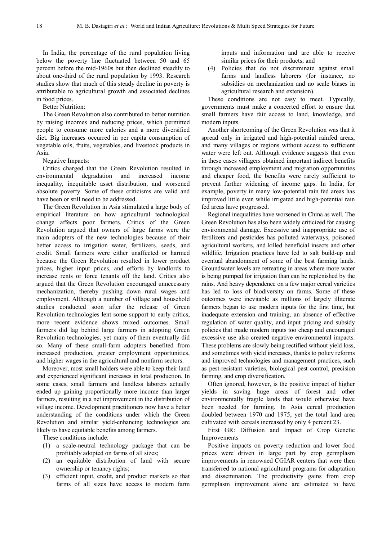In India, the percentage of the rural population living below the poverty line fluctuated between 50 and 65 percent before the mid-1960s but then declined steadily to about one-third of the rural population by 1993. Research studies show that much of this steady decline in poverty is attributable to agricultural growth and associated declines in food prices.

Better Nutrition:

The Green Revolution also contributed to better nutrition by raising incomes and reducing prices, which permitted people to consume more calories and a more diversified diet. Big increases occurred in per capita consumption of vegetable oils, fruits, vegetables, and livestock products in Asia.

Negative Impacts:

Critics charged that the Green Revolution resulted in environmental degradation and increased income inequality, inequitable asset distribution, and worsened absolute poverty. Some of these criticisms are valid and have been or still need to be addressed.

The Green Revolution in Asia stimulated a large body of empirical literature on how agricultural technological change affects poor farmers. Critics of the Green Revolution argued that owners of large farms were the main adopters of the new technologies because of their better access to irrigation water, fertilizers, seeds, and credit. Small farmers were either unaffected or harmed because the Green Revolution resulted in lower product prices, higher input prices, and efforts by landlords to increase rents or force tenants off the land. Critics also argued that the Green Revolution encouraged unnecessary mechanization, thereby pushing down rural wages and employment. Although a number of village and household studies conducted soon after the release of Green Revolution technologies lent some support to early critics, more recent evidence shows mixed outcomes. Small farmers did lag behind large farmers in adopting Green Revolution technologies, yet many of them eventually did so. Many of these small-farm adopters benefited from increased production, greater employment opportunities, and higher wages in the agricultural and nonfarm sectors.

Moreover, most small holders were able to keep their land and experienced significant increases in total production. In some cases, small farmers and landless laborers actually ended up gaining proportionally more income than larger farmers, resulting in a net improvement in the distribution of village income. Development practitioners now have a better understanding of the conditions under which the Green Revolution and similar yield-enhancing technologies are likely to have equitable benefits among farmers.

These conditions include:

- (1) a scale-neutral technology package that can be profitably adopted on farms of all sizes;
- (2) an equitable distribution of land with secure ownership or tenancy rights;
- (3) efficient input, credit, and product markets so that farms of all sizes have access to modern farm

inputs and information and are able to receive similar prices for their products; and

(4) Policies that do not discriminate against small farms and landless laborers (for instance, no subsidies on mechanization and no scale biases in agricultural research and extension).

These conditions are not easy to meet. Typically, governments must make a concerted effort to ensure that small farmers have fair access to land, knowledge, and modern inputs.

Another shortcoming of the Green Revolution was that it spread only in irrigated and high-potential rainfed areas, and many villages or regions without access to sufficient water were left out. Although evidence suggests that even in these cases villagers obtained important indirect benefits through increased employment and migration opportunities and cheaper food, the benefits were rarely sufficient to prevent further widening of income gaps. In India, for example, poverty in many low-potential rain fed areas has improved little even while irrigated and high-potential rain fed areas have progressed.

Regional inequalities have worsened in China as well. The Green Revolution has also been widely criticized for causing environmental damage. Excessive and inappropriate use of fertilizers and pesticides has polluted waterways, poisoned agricultural workers, and killed beneficial insects and other wildlife. Irrigation practices have led to salt build-up and eventual abandonment of some of the best farming lands. Groundwater levels are retreating in areas where more water is being pumped for irrigation than can be replenished by the rains. And heavy dependence on a few major cereal varieties has led to loss of biodiversity on farms. Some of these outcomes were inevitable as millions of largely illiterate farmers began to use modern inputs for the first time, but inadequate extension and training, an absence of effective regulation of water quality, and input pricing and subsidy policies that made modern inputs too cheap and encouraged excessive use also created negative environmental impacts. These problems are slowly being rectified without yield loss, and sometimes with yield increases, thanks to policy reforms and improved technologies and management practices, such as pest-resistant varieties, biological pest control, precision farming, and crop diversification.

Often ignored, however, is the positive impact of higher yields in saving huge areas of forest and other environmentally fragile lands that would otherwise have been needed for farming. In Asia cereal production doubled between 1970 and 1975, yet the total land area cultivated with cereals increased by only 4 percent 23.

First GR: Diffusion and Impact of Crop Genetic Improvements

Positive impacts on poverty reduction and lower food prices were driven in large part by crop germplasm improvements in renowned CGIAR centers that were then transferred to national agricultural programs for adaptation and dissemination. The productivity gains from crop germplasm improvement alone are estimated to have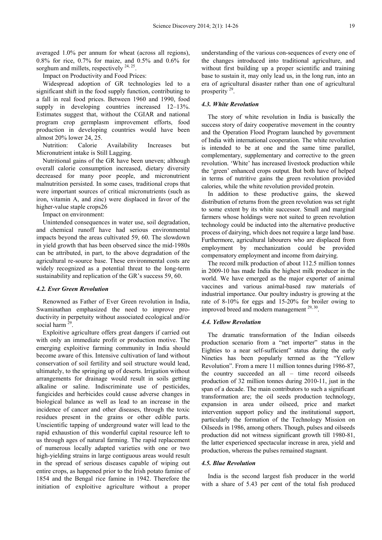averaged 1.0% per annum for wheat (across all regions), 0.8% for rice, 0.7% for maize, and 0.5% and 0.6% for sorghum and millets, respectively  $24, 25$ .

Impact on Productivity and Food Prices:

Widespread adoption of GR technologies led to a significant shift in the food supply function, contributing to a fall in real food prices. Between 1960 and 1990, food supply in developing countries increased 12–13%. Estimates suggest that, without the CGIAR and national program crop germplasm improvement efforts, food production in developing countries would have been almost 20% lower 24, 25.

Nutrition: Calorie Availability Increases but Micronutrient intake is Still Lagging.

Nutritional gains of the GR have been uneven; although overall calorie consumption increased, dietary diversity decreased for many poor people, and micronutrient malnutrition persisted. In some cases, traditional crops that were important sources of critical micronutrients (such as iron, vitamin A, and zinc) were displaced in favor of the higher-value staple crops26

Impact on environment:

Unintended consequences in water use, soil degradation, and chemical runoff have had serious environmental impacts beyond the areas cultivated 59, 60. The slowdown in yield growth that has been observed since the mid-1980s can be attributed, in part, to the above degradation of the agricultural re-source base. These environmental costs are widely recognized as a potential threat to the long-term sustainability and replication of the GR's success 59, 60.

#### *4.2. Ever Green Revolution*

Renowned as Father of Ever Green revolution in India, Swaminathan emphasized the need to improve productivity in perpetuity without associated ecological and/or social harm  $29$ .

Exploitive agriculture offers great dangers if carried out with only an immediate profit or production motive. The emerging exploitive farming community in India should become aware of this. Intensive cultivation of land without conservation of soil fertility and soil structure would lead, ultimately, to the springing up of deserts. Irrigation without arrangements for drainage would result in soils getting alkaline or saline. Indiscriminate use of pesticides, fungicides and herbicides could cause adverse changes in biological balance as well as lead to an increase in the incidence of cancer and other diseases, through the toxic residues present in the grains or other edible parts. Unscientific tapping of underground water will lead to the rapid exhaustion of this wonderful capital resource left to us through ages of natural farming. The rapid replacement of numerous locally adapted varieties with one or two high-yielding strains in large contiguous areas would result in the spread of serious diseases capable of wiping out entire crops, as happened prior to the Irish potato famine of 1854 and the Bengal rice famine in 1942. Therefore the initiation of exploitive agriculture without a proper

understanding of the various con-sequences of every one of the changes introduced into traditional agriculture, and without first building up a proper scientific and training base to sustain it, may only lead us, in the long run, into an era of agricultural disaster rather than one of agricultural prosperity<sup>29</sup>.

#### *4.3. White Revolution*

The story of white revolution in India is basically the success story of dairy cooperative movement in the country and the Operation Flood Program launched by government of India with international cooperation. The white revolution is intended to be at one and the same time parallel, complementary, supplementary and corrective to the green revolution. 'White' has increased livestock production while the 'green' enhanced crops output. But both have of helped in terms of nutritive gains the green revolution provided calories, while the white revolution provided protein.

In addition to these productive gains, the skewed distribution of returns from the green revolution was set right to some extent by its white successor. Small and marginal farmers whose holdings were not suited to green revolution technology could be inducted into the alternative productive process of dairying, which does not require a large land base. Furthermore, agricultural labourers who are displaced from employment by mechanization could be provided compensatory employment and income from dairying.

The record milk production of about 112.5 million tonnes in 2009-10 has made India the highest milk producer in the world. We have emerged as the major exporter of animal vaccines and various animal-based raw materials of industrial importance. Our poultry industry is growing at the rate of 8-10% for eggs and 15-20% for broiler owing to improved breed and modern management<sup>29, 30</sup>.

#### *4.4. Yellow Revolution*

The dramatic transformation of the Indian oilseeds production scenario from a "net importer" status in the Eighties to a near self-sufficient" status during the early Nineties has been popularly termed as the "Yellow Revolution". From a mere 11 million tonnes during 1986-87, the country succeeded an all – time record oilseeds production of 32 million tonnes during 2010-11, just in the span of a decade. The main contributors to such a significant transformation are; the oil seeds production technology, expansion in area under oilseed, price and market intervention support policy and the institutional support, particularly the formation of the Technology Mission on Oilseeds in 1986, among others. Though, pulses and oilseeds production did not witness significant growth till 1980-81, the latter experienced spectacular increase in area, yield and production, whereas the pulses remained stagnant.

#### *4.5. Blue Revolution*

India is the second largest fish producer in the world with a share of 5.43 per cent of the total fish produced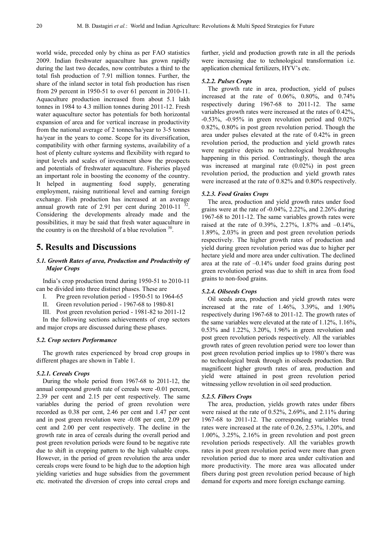world wide, preceded only by china as per FAO statistics 2009. Indian freshwater aquaculture has grown rapidly during the last two decades, now contributes a third to the total fish production of 7.91 million tonnes. Further, the share of the inland sector in total fish production has risen from 29 percent in 1950-51 to over 61 percent in 2010-11. Aquaculture production increased from about 5.1 lakh tonnes in 1984 to 4.3 million tonnes during 2011-12. Fresh water aquaculture sector has potentials for both horizontal expansion of area and for vertical increase in productivity from the national average of 2 tonnes/ha/year to 3-5 tonnes ha/year in the years to come. Scope for its diversification, compatibility with other farming systems, availability of a host of plenty culture systems and flexibility with regard to input levels and scales of investment show the prospects and potentials of freshwater aquaculture. Fisheries played an important role in boosting the economy of the country. It helped in augmenting food supply, generating employment, raising nutritional level and earning foreign exchange. Fish production has increased at an average annual growth rate of 2.91 per cent during  $2010-11^{-3}$ . Considering the developments already made and the possibilities, it may be said that fresh water aquaculture in the country is on the threshold of a blue revolution  $30$ .

# **5. Results and Discussions**

### *5.1. Growth Rates of area, Production and Productivity of Major Crops*

India's crop production trend during 1950-51 to 2010-11 can be divided into three distinct phases. These are

I. Pre green revolution period - 1950-51 to 1964-65

II. Green revolution period - 1967-68 to 1980-81

III. Post green revolution period - 1981-82 to 2011-12

In the following sections achievements of crop sectors and major crops are discussed during these phases.

#### *5.2. Crop sectors Performance*

The growth rates experienced by broad crop groups in different phages are shown in Table 1.

#### *5.2.1. Cereals Crops*

During the whole period from 1967-68 to 2011-12, the annual compound growth rate of cereals were -0.01 percent, 2.39 per cent and 2.15 per cent respectively. The same variables during the period of green revolution were recorded as 0.38 per cent, 2.46 per cent and 1.47 per cent and in post green revolution were -0.08 per cent, 2.09 per cent and 2.00 per cent respectively. The decline in the growth rate in area of cereals during the overall period and post green revolution periods were found to be negative rate due to shift in cropping pattern to the high valuable crops. However, in the period of green revolution the area under cereals crops were found to be high due to the adoption high yielding varieties and huge subsidies from the government etc. motivated the diversion of crops into cereal crops and further, yield and production growth rate in all the periods were increasing due to technological transformation i.e. application chemical fertilizers, HYV's etc.

#### *5.2.2. Pulses Crops*

The growth rate in area, production, yield of pulses increased at the rate of 0.06%, 0.80%, and 0.74% respectively during 1967-68 to 2011-12. The same variables growth rates were increased at the rates of 0.42%, -0.53%, -0.95% in green revolution period and 0.02% 0.82%, 0.80% in post green revolution period. Though the area under pulses elevated at the rate of 0.42% in green revolution period, the production and yield growth rates were negative depicts no technological breakthroughs happening in this period. Contrastingly, though the area was increased at marginal rate (0.02%) in post green revolution period, the production and yield growth rates were increased at the rate of 0.82% and 0.80% respectively.

#### *5.2.3. Food Grains Crops*

The area, production and yield growth rates under food grains were at the rate of -0.04%, 2.22%, and 2.26% during 1967-68 to 2011-12. The same variables growth rates were raised at the rate of 0.39%, 2.27%, 1.87% and –0.14%, 1.89%, 2.03% in green and post green revolution periods respectively. The higher growth rates of production and yield during green revolution period was due to higher per hectare yield and more area under cultivation. The declined area at the rate of –0.14% under food grains during post green revolution period was due to shift in area from food grains to non-food grains.

#### *5.2.4. Oilseeds Crops*

Oil seeds area, production and yield growth rates were increased at the rate of 1.46%, 3.39%, and 1.90% respectively during 1967-68 to 2011-12. The growth rates of the same variables were elevated at the rate of 1.12%, 1.16%, 0.53% and 1.22%, 3.20%, 1.96% in green revolution and post green revolution periods respectively. All the variables growth rates of green revolution period were too lower than post green revolution period implies up to 1980's there was no technological break through in oilseeds production. But magnificent higher growth rates of area, production and yield were attained in post green revolution period witnessing yellow revolution in oil seed production.

#### *5.2.5. Fibers Crops*

The area, production, yields growth rates under fibers were raised at the rate of 0.52%, 2.69%, and 2.11% during 1967-68 to 2011-12. The corresponding variables trend rates were increased at the rate of 0.26, 2.53%, 1.20%, and 1.00%, 3.25%, 2.16% in green revolution and post green revolution periods respectively. All the variables growth rates in post green revolution period were more than green revolution period due to more area under cultivation and more productivity. The more area was allocated under fibers during post green revolution period because of high demand for exports and more foreign exchange earning.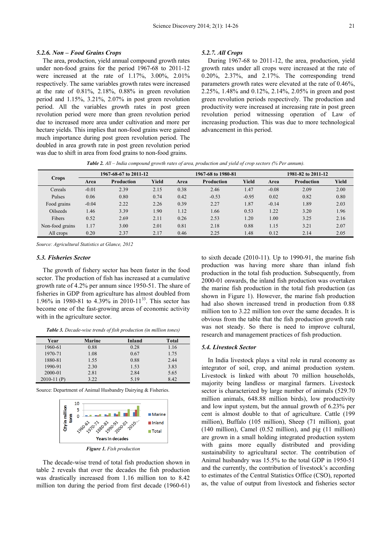#### *5.2.6. Non – Food Grains Crops*

The area, production, yield annual compound growth rates under non-food grains for the period 1967-68 to 2011-12 were increased at the rate of 1.17%, 3.00%, 2.01% respectively. The same variables growth rates were increased at the rate of  $0.81\%$ ,  $2.18\%$ ,  $0.88\%$  in green revolution period and 1.15%, 3.21%, 2.07% in post green revolution period. All the variables growth rates in post green revolution period were more than green revolution period due to increased more area under cultivation and more per hectare yields. This implies that non-food grains were gained much importance during post green revolution period. The doubled in area growth rate in post green revolution period was due to shift in area from food grains to non-food grains.

#### *5.2.7. All Crops*

During 1967-68 to 2011-12, the area, production, yield growth rates under all crops were increased at the rate of 0.20%, 2.37%, and 2.17%. The corresponding trend parameters growth rates were elevated at the rate of 0.46%, 2.25%, 1.48% and 0.12%, 2.14%, 2.05% in green and post green revolution periods respectively. The production and productivity were increased at increasing rate in post green revolution period witnessing operation of Law of increasing production. This was due to more technological advancement in this period.

| <b>Crops</b>    | 1967-68-67 to 2011-12 |            |       | 1967-68 to 1980-81 |            |         | 1981-82 to 2011-12 |                   |       |
|-----------------|-----------------------|------------|-------|--------------------|------------|---------|--------------------|-------------------|-------|
|                 | Area                  | Production | Yield | Area               | Production | Yield   | Area               | <b>Production</b> | Yield |
| Cereals         | $-0.01$               | 2.39       | 2.15  | 0.38               | 2.46       | 1.47    | $-0.08$            | 2.09              | 2.00  |
| Pulses          | 0.06                  | 0.80       | 0.74  | 0.42               | $-0.53$    | $-0.95$ | 0.02               | 0.82              | 0.80  |
| Food grains     | $-0.04$               | 2.22       | 2.26  | 0.39               | 2.27       | 1.87    | $-0.14$            | 1.89              | 2.03  |
| Oilseeds        | 1.46                  | 3.39       | L.90  | 1.12               | 1.66       | 0.53    | 1.22               | 3.20              | 1.96  |
| Fibers          | 0.52                  | 2.69       | 2.11  | 0.26               | 2.53       | 1.20    | 1.00               | 3.25              | 2.16  |
| Non-food grains | 1.17                  | 3.00       | 2.01  | 0.81               | 2.18       | 0.88    | 1.15               | 3.21              | 2.07  |
| All crops       | 0.20                  | 2.37       | 2.17  | 0.46               | 2.25       | 1.48    | 0.12               | 2.14              | 2.05  |

*Table 2. All – India compound growth rates of area, production and yield of crop sectors (% Per annum).*

*Source: Agricultural Statistics at Glance, 2012* 

#### *5.3. Fisheries Sector*

The growth of fishery sector has been faster in the food sector. The production of fish has increased at a cumulative growth rate of 4.2% per annum since 1950-51. The share of fisheries in GDP from agriculture has almost doubled from 1.96% in 1980-81 to 4.39% in 2010-11<sup>33</sup>. This sector has become one of the fast-growing areas of economic activity with in the agriculture sector.

*Table 3. Decade-wise trends of fish production (in million tones)* 

| Year          | <b>Marine</b> | Inland | Total |
|---------------|---------------|--------|-------|
| 1960-61       | 0.88          | 0.28   | 1.16  |
| 1970-71       | 1.08          | 0.67   | 1.75  |
| 1880-81       | 1.55          | 0.88   | 2.44  |
| 1990-91       | 2.30          | 1.53   | 3.83  |
| 2000-01       | 2.81          | 2.84   | 5.65  |
| $2010-11$ (P) | 3.22          | 5.19   | 8.42  |

Source: Department of Animal Husbandry Dairying & Fisheries.



The decade-wise trend of total fish production shown in table 2 reveals that over the decades the fish production was drastically increased from 1.16 million ton to 8.42 million ton during the period from first decade (1960-61)

to sixth decade (2010-11). Up to 1990-91, the marine fish production was having more share than inland fish production in the total fish production. Subsequently, from 2000-01 onwards, the inland fish production was overtaken the marine fish production in the total fish production (as shown in Figure 1). However, the marine fish production had also shown increased trend in production from 0.88 million ton to 3.22 million ton over the same decades. It is obvious from the table that the fish production growth rate was not steady. So there is need to improve cultural, research and management practices of fish production.

#### *5.4. Livestock Sector*

In India livestock plays a vital role in rural economy as integrator of soil, crop, and animal production system. Livestock is linked with about 70 million households, majority being landless or marginal farmers. Livestock sector is characterized by large number of animals (529.70 million animals, 648.88 million birds), low productivity and low input system, but the annual growth of 6.23% per cent is almost double to that of agriculture. Cattle (199 million), Buffalo (105 million), Sheep (71 million), goat (140 million), Camel (0.52 million), and pig (11 million) are grown in a small holding integrated production system with gains more equally distributed and providing sustainability to agricultural sector. The contribution of Animal husbandry was 15.5% to the total GDP in 1950-51 and the currently, the contribution of livestock's according to estimates of the Central Statistics Office (CSO), reported as, the value of output from livestock and fisheries sector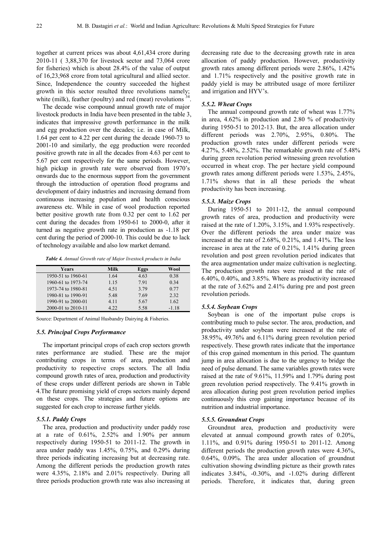.

together at current prices was about 4,61,434 crore during 2010-11 ( 3,88,370 for livestock sector and 73,064 crore for fisheries) which is about 28.4% of the value of output of 16,23,968 crore from total agricultural and allied sector. Since, Independence the country succeeded the highest growth in this sector resulted three revolutions namely; white (milk), feather (poultry) and red (meat) revolutions  $3$ 

The decade wise compound annual growth rate of major livestock products in India have been presented in the table 3, indicates that impressive growth performance in the milk and egg production over the decades; i.e. in case of Milk, 1.64 per cent to 4.22 per cent during the decade 1960-73 to 2001-10 and similarly, the egg production were recorded positive growth rate in all the decades from 4.63 per cent to 5.67 per cent respectively for the same periods. However, high pickup in growth rate were observed from 1970's onwards due to the enormous support from the government through the introduction of operation flood programs and development of dairy industries and increasing demand from continuous increasing population and health conscious awareness etc. While in case of wool production reported better positive growth rate from 0.32 per cent to 1.62 per cent during the decades from 1950-61 to 2000-0, after it turned as negative growth rate in production as -1.18 per cent during the period of 2000-10. This could be due to lack of technology available and also low market demand.

| Years              | Milk | Eggs | Wool    |
|--------------------|------|------|---------|
| 1950-51 to 1960-61 | 1.64 | 4.63 | 0.38    |
| 1960-61 to 1973-74 | 1.15 | 7.91 | 0.34    |
| 1973-74 to 1980-81 | 4.51 | 3.79 | 0.77    |
| 1980-81 to 1990-91 | 5.48 | 7.69 | 2.32    |
| 1990-91 to 2000-01 | 4.11 | 5.67 | 1.62    |
| 2000-01 to 2010-11 | 4.22 | 5.58 | $-1.18$ |

Source: Department of Animal Husbandry Dairying & Fisheries.

#### *5.5. Principal Crops Performance*

The important principal crops of each crop sectors growth rates performance are studied. These are the major contributing crops in terms of area, production and productivity to respective crops sectors. The all India compound growth rates of area, production and productivity of these crops under different periods are shown in Table 4.The future promising yield of crops sectors mainly depend on these crops. The strategies and future options are suggested for each crop to increase further yields.

#### *5.5.1. Paddy Crops*

The area, production and productivity under paddy rose at a rate of 0.61%, 2.52% and 1.90% per annum respectively during 1950-51 to 2011-12. The growth in area under paddy was 1.45%, 0.75%, and 0.29% during three periods indicating increasing but at decreasing rate. Among the different periods the production growth rates were 4.35%, 2.18% and 2.01% respectively. During all three periods production growth rate was also increasing at decreasing rate due to the decreasing growth rate in area allocation of paddy production. However, productivity growth rates among different periods were 2.86%, 1.42% and 1.71% respectively and the positive growth rate in paddy yield is may be attributed usage of more fertilizer and irrigation and HYV's.

#### *5.5.2. Wheat Crops*

The annual compound growth rate of wheat was 1.77% in area, 4.62% in production and 2.80 % of productivity during 1950-51 to 2012-13. But, the area allocation under different periods was 2.70%, 2.95%, 0.80%. The production growth rates under different periods were 4.27%, 5.48%, 2.52%. The remarkable growth rate of 5.48% during green revolution period witnessing green revolution occurred in wheat crop. The per hectare yield compound growth rates among different periods were 1.53%, 2.45%, 1.71% shows that in all these periods the wheat productivity has been increasing.

#### *5.5.3. Maize Crops*

During 1950-51 to 2011-12, the annual compound growth rates of area, production and productivity were raised at the rate of 1.20%, 3.15%, and 1.93% respectively. Over the different periods the area under maize was increased at the rate of 2.68%, 0.21%, and 1.41%. The less increase in area at the rate of 0.21%, 1.41% during green revolution and post green revolution period indicates that the area augmentation under maize cultivation is neglecting. The production growth rates were raised at the rate of 6.40%, 0.40%, and 3.85%. Where as productivity increased at the rate of 3.62% and 2.41% during pre and post green revolution periods.

#### *5.5.4. Soybean Crops*

Soybean is one of the important pulse crops is contributing much to pulse sector. The area, production, and productivity under soybean were increased at the rate of 38.95%, 49.76% and 6.11% during green revolution period respectively. These growth rates indicate that the importance of this crop gained momentum in this period. The quantum jump in area allocation is due to the urgency to bridge the need of pulse demand. The same variables growth rates were raised at the rate of 9.61%, 11.59% and 1.79% during post green revolution period respectively. The 9.41% growth in area allocation during post green revolution period implies continuously this crop gaining importance because of its nutrition and industrial importance.

#### *5.5.5. Groundnut Crops*

Groundnut area, production and productivity were elevated at annual compound growth rates of 0.20%, 1.11%, and 0.91% during 1950-51 to 2011-12. Among different periods the production growth rates were 4.36%, 0.64%, 0.09%. The area under allocation of groundnut cultivation showing dwindling picture as their growth rates indicates 3.84%, -0.30%, and -1.02% during different periods. Therefore, it indicates that, during green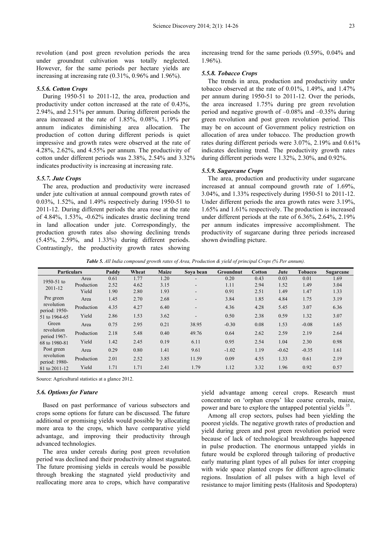revolution (and post green revolution periods the area under groundnut cultivation was totally neglected. However, for the same periods per hectare yields are increasing at increasing rate (0.31%, 0.96% and 1.96%).

#### *5.5.6. Cotton Crops*

During 1950-51 to 2011-12, the area, production and productivity under cotton increased at the rate of 0.43%, 2.94%, and 2.51% per annum. During different periods the area increased at the rate of 1.85%, 0.08%, 1.19% per annum indicates diminishing area allocation. The production of cotton during different periods is quiet impressive and growth rates were observed at the rate of 4.28%, 2.62%, and 4.55% per annum. The productivity of cotton under different periods was 2.38%, 2.54% and 3.32% indicates productivity is increasing at increasing rate.

#### *5.5.7. Jute Crops*

The area, production and productivity were increased under jute cultivation at annual compound growth rates of 0.03%, 1.52%, and 1.49% respectively during 1950-51 to 2011-12. During different periods the area rose at the rate of 4.84%, 1.53%, -0.62% indicates drastic declining trend in land allocation under jute. Correspondingly, the production growth rates also showing declining trends (5.45%, 2.59%, and 1.33%) during different periods. Contrastingly, the productivity growth rates showing

increasing trend for the same periods (0.59%, 0.04% and 1.96%).

#### *5.5.8. Tobacco Crops*

The trends in area, production and productivity under tobacco observed at the rate of 0.01%, 1.49%, and 1.47% per annum during 1950-51 to 2011-12. Over the periods, the area increased 1.75% during pre green revolution period and negative growth of –0.08% and –0.35% during green revolution and post green revolution period. This may be on account of Government policy restriction on allocation of area under tobacco. The production growth rates during different periods were 3.07%, 2.19% and 0.61% indicates declining trend. The productivity growth rates during different periods were 1.32%, 2.30%, and 0.92%.

#### *5.5.9. Sugarcane Crops*

The area, production and productivity under sugarcane increased at annual compound growth rate of 1.69%, 3.04%, and 1.33% respectively during 1950-51 to 2011-12. Under different periods the area growth rates were 3.19%, 1.65% and 1.61% respectively. The production is increased under different periods at the rate of 6.36%, 2.64%, 2.19% per annum indicates impressive accomplishment. The productivity of sugarcane during three periods increased shown dwindling picture.

*Table 5. All India compound growth rates of Area, Production & yield of principal Crops (% Per annum).* 

| <b>Particulars</b>          |            | Paddy | Wheat | <b>Maize</b> | Sova bean | Groundnut | <b>Cotton</b> | Jute    | <b>Tobacco</b> | Sugarcane |
|-----------------------------|------------|-------|-------|--------------|-----------|-----------|---------------|---------|----------------|-----------|
| 1950-51 to<br>2011-12       | Area       | 0.61  | 1.77  | 1.20         |           | 0.20      | 0.43          | 0.03    | 0.01           | 1.69      |
|                             | Production | 2.52  | 4.62  | 3.15         | ۰         | 1.11      | 2.94          | 1.52    | 1.49           | 3.04      |
|                             | Yield      | 1.90  | 2.80  | 1.93         | $\sim$    | 0.91      | 2.51          | 1.49    | 1.47           | 1.33      |
| Pre green                   | Area       | 1.45  | 2.70  | 2.68         | ۰         | 3.84      | 1.85          | 4.84    | 1.75           | 3.19      |
| revolution<br>period: 1950- | Production | 4.35  | 4.27  | 6.40         | -         | 4.36      | 4.28          | 5.45    | 3.07           | 6.36      |
| 51 to 1964-65               | Yield      | 2.86  | 1.53  | 3.62         | ۰.        | 0.50      | 2.38          | 0.59    | 1.32           | 3.07      |
| Green                       | Area       | 0.75  | 2.95  | 0.21         | 38.95     | $-0.30$   | 0.08          | 1.53    | $-0.08$        | 1.65      |
| revolution<br>period 1967-  | Production | 2.18  | 5.48  | 0.40         | 49.76     | 0.64      | 2.62          | 2.59    | 2.19           | 2.64      |
| 68 to 1980-81               | Yield      | 1.42  | 2.45  | 0.19         | 6.11      | 0.95      | 2.54          | 1.04    | 2.30           | 0.98      |
| Post green                  | Area       | 0.29  | 0.80  | 1.41         | 9.61      | $-1.02$   | 1.19          | $-0.62$ | $-0.35$        | 1.61      |
| revolution<br>period: 1980- | Production | 2.01  | 2.52  | 3.85         | 11.59     | 0.09      | 4.55          | 1.33    | 0.61           | 2.19      |
| 81 to 2011-12               | Yield      | 1.71  | 1.71  | 2.41         | 1.79      | 1.12      | 3.32          | 1.96    | 0.92           | 0.57      |

Source: Agricultural statistics at a glance 2012.

### *5.6. Options for Future*

Based on past performance of various subsectors and crops some options for future can be discussed. The future additional or promising yields would possible by allocating more area to the crops, which have comparative yield advantage, and improving their productivity through advanced technologies.

The area under cereals during post green revolution period was declined and their productivity almost stagnated. The future promising yields in cereals would be possible through breaking the stagnated yield productivity and reallocating more area to crops, which have comparative

yield advantage among cereal crops. Research must concentrate on 'orphan crops' like coarse cereals, maize, power and bare to explore the untapped potential yields <sup>35</sup>.

Among all crop sectors, pulses had been yielding the poorest yields. The negative growth rates of production and yield during green and post green revolution period were because of lack of technological breakthroughs happened in pulse production. The enormous untapped yields in future would be explored through tailoring of productive early maturing plant types of all pulses for inter cropping with wide space planted crops for different agro-climatic regions. Insulation of all pulses with a high level of resistance to major limiting pests (Halitosis and Spodoptera)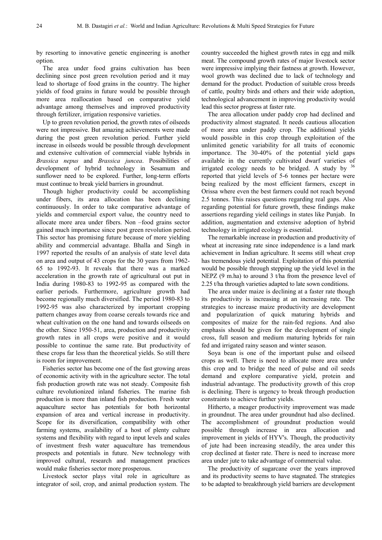by resorting to innovative genetic engineering is another option.

The area under food grains cultivation has been declining since post green revolution period and it may lead to shortage of food grains in the country. The higher yields of food grains in future would be possible through more area reallocation based on comparative yield advantage among themselves and improved productivity through fertilizer, irrigation responsive varieties.

Up to green revolution period, the growth rates of oilseeds were not impressive. But amazing achievements were made during the post green revolution period. Further yield increase in oilseeds would be possible through development and extensive cultivation of commercial viable hybrids in *Brassica nepus* and *Brassica juncea*. Possibilities of development of hybrid technology in Sesamum and sunflower need to be explored. Further, long-term efforts must continue to break yield barriers in groundnut.

Though higher productivity could be accomplishing under fibers, its area allocation has been declining continuously. In order to take comparative advantage of yields and commercial export value, the country need to allocate more area under fibers. Non –food grains sector gained much importance since post green revolution period. This sector has promising future because of more yielding ability and commercial advantage. Bhalla and Singh in 1997 reported the results of an analysis of state level data on area and output of 43 crops for the 30 years from 1962- 65 to 1992-93. It reveals that there was a marked acceleration in the growth rate of agricultural out put in India during 1980-83 to 1992-95 as compared with the earlier periods. Furthermore, agriculture growth had become regionally much diversified. The period 1980-83 to 1992-95 was also characterized by important cropping pattern changes away from coarse cereals towards rice and wheat cultivation on the one hand and towards oilseeds on the other. Since 1950-51, area, production and productivity growth rates in all crops were positive and it would possible to continue the same rate. But productivity of these crops far less than the theoretical yields. So still there is room for improvement.

Fisheries sector has become one of the fast growing areas of economic activity with in the agriculture sector. The total fish production growth rate was not steady. Composite fish culture revolutionized inland fisheries. The marine fish production is more than inland fish production. Fresh water aquaculture sector has potentials for both horizontal expansion of area and vertical increase in productivity. Scope for its diversification, compatibility with other farming systems, availability of a host of plenty culture systems and flexibility with regard to input levels and scales of investment fresh water aquaculture has tremendous prospects and potentials in future. New technology with improved cultural, research and management practices would make fisheries sector more prosperous.

Livestock sector plays vital role in agriculture as integrator of soil, crop, and animal production system. The

country succeeded the highest growth rates in egg and milk meat. The compound growth rates of major livestock sector were impressive implying their fastness at growth. However, wool growth was declined due to lack of technology and demand for the product. Production of suitable cross breeds of cattle, poultry birds and others and their wide adoption, technological advancement in improving productivity would lead this sector progress at faster rate.

The area allocation under paddy crop had declined and productivity almost stagnated. It needs cautious allocation of more area under paddy crop. The additional yields would possible in this crop through exploitation of the unlimited genetic variability for all traits of economic importance. The 30-40% of the potential yield gaps available in the currently cultivated dwarf varieties of irrigated ecology needs to be bridged. A study by  $36$ reported that yield levels of 5-6 tonnes per hectare were being realized by the most efficient farmers, except in Orissa where even the best farmers could not reach beyond 2.5 tonnes. This raises questions regarding real gaps. Also regarding potential for future growth, these findings make assertions regarding yield ceilings in states like Punjab. In addition, augmentation and extensive adoption of hybrid technology in irrigated ecology is essential.

The remarkable increase in production and productivity of wheat at increasing rate since independence is a land mark achievement in Indian agriculture. It seems still wheat crop has tremendous yield potential. Exploitation of this potential would be possible through stepping up the yield level in the NEPZ (9 m.ha) to around 3 t/ha from the presence level of 2.25 t/ha through varieties adapted to late sown conditions.

The area under maize is declining at a faster rate though its productivity is increasing at an increasing rate. The strategies to increase maize productivity are development and popularization of quick maturing hybrids and composites of maize for the rain-fed regions. And also emphasis should be given for the development of single cross, full season and medium maturing hybrids for rain fed and irrigated rainy season and winter season.

Soya bean is one of the important pulse and oilseed crops as well. There is need to allocate more area under this crop and to bridge the need of pulse and oil seeds demand and explore comparative yield, protein and industrial advantage. The productivity growth of this crop is declining. There is urgency to break through production constraints to achieve further yields.

Hitherto, a meager productivity improvement was made in groundnut. The area under groundnut had also declined. The accomplishment of groundnut production would possible through increase in area allocation and improvement in yields of HYV's. Though, the productivity of jute had been increasing steadily, the area under this crop declined at faster rate. There is need to increase more area under jute to take advantage of commercial value.

The productivity of sugarcane over the years improved and its productivity seems to have stagnated. The strategies to be adapted to breakthrough yield barriers are development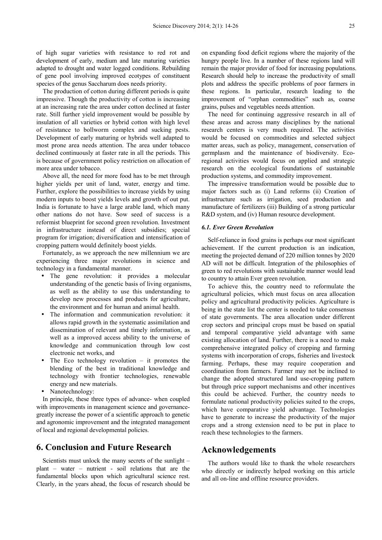of high sugar varieties with resistance to red rot and development of early, medium and late maturing varieties adapted to drought and water logged conditions. Rebuilding of gene pool involving improved ecotypes of constituent species of the genus Saccharum does needs priority.

The production of cotton during different periods is quite impressive. Though the productivity of cotton is increasing at an increasing rate the area under cotton declined at faster rate. Still further yield improvement would be possible by insulation of all varieties or hybrid cotton with high level of resistance to bollworm complex and sucking pests. Development of early maturing or hybrids well adapted to most prone area needs attention. The area under tobacco declined continuously at faster rate in all the periods. This is because of government policy restriction on allocation of more area under tobacco.

Above all, the need for more food has to be met through higher yields per unit of land, water, energy and time. Further, explore the possibilities to increase yields by using modern inputs to boost yields levels and growth of out put. India is fortunate to have a large arable land, which many other nations do not have. Sow seed of success is a reformist blueprint for second green revolution. Investment in infrastructure instead of direct subsidies; special program for irrigation; diversification and intensification of cropping pattern would definitely boost yields.

Fortunately, as we approach the new millennium we are experiencing three major revolutions in science and technology in a fundamental manner.

- The gene revolution: it provides a molecular understanding of the genetic basis of living organisms, as well as the ability to use this understanding to develop new processes and products for agriculture, the environment and for human and animal health.
- The information and communication revolution: it allows rapid growth in the systematic assimilation and dissemination of relevant and timely information, as well as a improved access ability to the universe of knowledge and communication through low cost electronic net works, and
- The Eco technology revolution it promotes the blending of the best in traditional knowledge and technology with frontier technologies, renewable energy and new materials.
- Nanotechnology:

In principle, these three types of advance- when coupled with improvements in management science and governancegreatly increase the power of a scientific approach to genetic and agronomic improvement and the integrated management of local and regional developmental policies.

# **6. Conclusion and Future Research**

Scientists must unlock the many secrets of the sunlight – plant – water – nutrient - soil relations that are the fundamental blocks upon which agricultural science rest. Clearly, in the years ahead, the focus of research should be

on expanding food deficit regions where the majority of the hungry people live. In a number of these regions land will remain the major provider of food for increasing populations. Research should help to increase the productivity of small plots and address the specific problems of poor farmers in these regions. In particular, research leading to the improvement of "orphan commodities" such as, coarse grains, pulses and vegetables needs attention.

The need for continuing aggressive research in all of these areas and across many disciplines by the national research centers is very much required. The activities would be focused on commodities and selected subject matter areas, such as policy, management, conservation of germplasm and the maintenance of biodiversity. Ecoregional activities would focus on applied and strategic research on the ecological foundations of sustainable production systems, and commodity improvement.

The impressive transformation would be possible due to major factors such as (i) Land reforms (ii) Creation of infrastructure such as irrigation, seed production and manufacture of fertilizers (iii) Building of a strong particular R&D system, and (iv) Human resource development.

## *6.1. Ever Green Revolution*

Self-reliance in food grains is perhaps our most significant achievement. If the current production is an indication, meeting the projected demand of 220 million tonnes by 2020 AD will not be difficult. Integration of the philosophies of green to red revolutions with sustainable manner would lead to country to attain Ever green revolution.

To achieve this, the country need to reformulate the agricultural policies, which must focus on area allocation policy and agricultural productivity policies. Agriculture is being in the state list the center is needed to take consensus of state governments. The area allocation under different crop sectors and principal crops must be based on spatial and temporal comparative yield advantage with same existing allocation of land. Further, there is a need to make comprehensive integrated policy of cropping and farming systems with incorporation of crops, fisheries and livestock farming. Perhaps, these may require cooperation and coordination from farmers. Farmer may not be inclined to change the adopted structured land use-cropping pattern but through price support mechanisms and other incentives this could be achieved. Further, the country needs to formulate national productivity policies suited to the crops, which have comparative yield advantage. Technologies have to generate to increase the productivity of the major crops and a strong extension need to be put in place to reach these technologies to the farmers.

# **Acknowledgements**

The authors would like to thank the whole researchers who directly or indirectly helped working on this article and all on-line and offline resource providers.